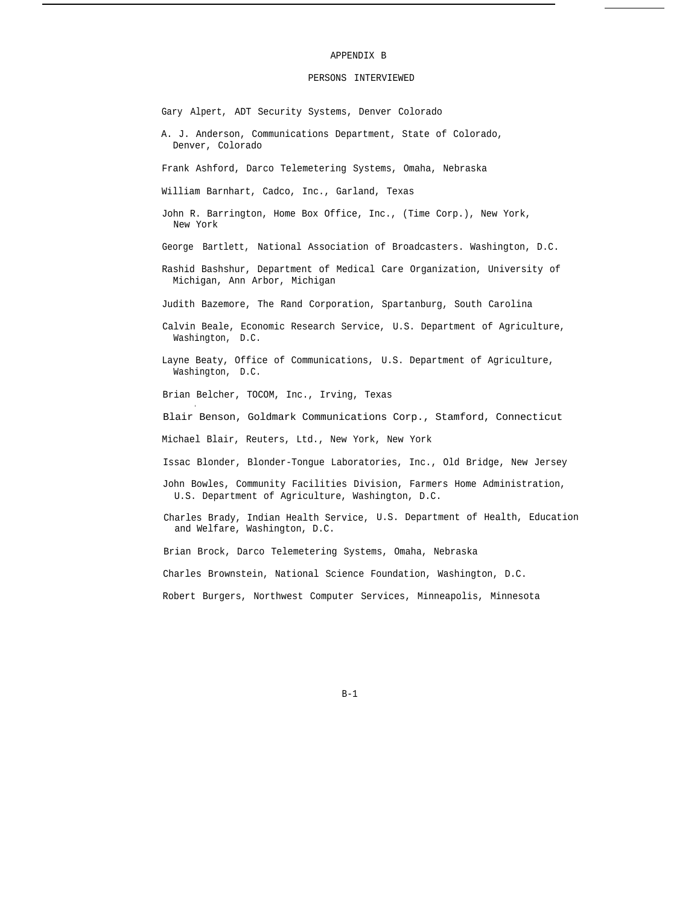## APPENDIX B

## PERSONS INTERVIEWED

Gary Alpert, ADT Security Systems, Denver Colorado

A. J. Anderson, Communications Department, State of Colorado, Denver, Colorado

Frank Ashford, Darco Telemetering Systems, Omaha, Nebraska

William Barnhart, Cadco, Inc., Garland, Texas

- John R. Barrington, Home Box Office, Inc., (Time Corp.), New York, New York
- George Bartlett, National Association of Broadcasters. Washington, D.C.
- Rashid Bashshur, Department of Medical Care Organization, University of Michigan, Ann Arbor, Michigan

Judith Bazemore, The Rand Corporation, Spartanburg, South Carolina

- Calvin Beale, Economic Research Service, U.S. Department of Agriculture, Washington, D.C.
- Layne Beaty, Office of Communications, U.S. Department of Agriculture, Washington, D.C.

Brian Belcher, TOCOM, Inc., Irving, Texas

.

Blair Benson, Goldmark Communications Corp., Stamford, Connecticut

Michael Blair, Reuters, Ltd., New York, New York

- Issac Blonder, Blonder-Tongue Laboratories, Inc., Old Bridge, New Jersey
- John Bowles, Community Facilities Division, Farmers Home Administration, U.S. Department of Agriculture, Washington, D.C.
- Charles Brady, Indian Health Service, U.S. Department of Health, Education and Welfare, Washington, D.C.

Brian Brock, Darco Telemetering Systems, Omaha, Nebraska

Charles Brownstein, National Science Foundation, Washington, D.C.

Robert Burgers, Northwest Computer Services, Minneapolis, Minnesota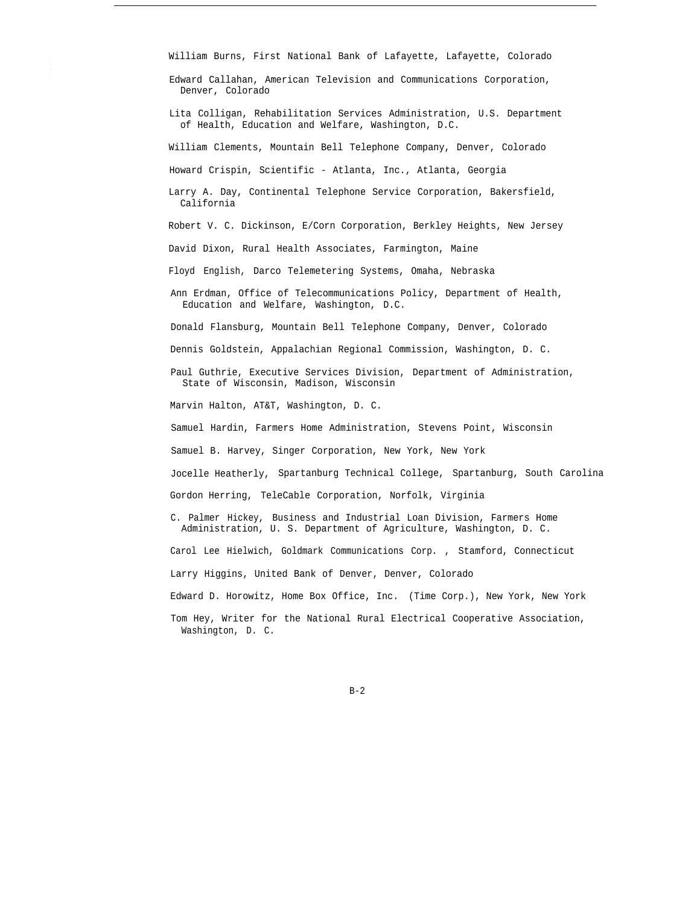William Burns, First National Bank of Lafayette, Lafayette, Colorado

Edward Callahan, American Television and Communications Corporation, Denver, Colorado

Lita Colligan, Rehabilitation Services Administration, U.S. Department of Health, Education and Welfare, Washington, D.C.

William Clements, Mountain Bell Telephone Company, Denver, Colorado

Howard Crispin, Scientific - Atlanta, Inc., Atlanta, Georgia

Larry A. Day, Continental Telephone Service Corporation, Bakersfield, California

Robert V. C. Dickinson, E/Corn Corporation, Berkley Heights, New Jersey

David Dixon, Rural Health Associates, Farmington, Maine

Floyd English, Darco Telemetering Systems, Omaha, Nebraska

Ann Erdman, Office of Telecommunications Policy, Department of Health, Education and Welfare, Washington, D.C.

Donald Flansburg, Mountain Bell Telephone Company, Denver, Colorado

Dennis Goldstein, Appalachian Regional Commission, Washington, D. C.

Paul Guthrie, Executive Services Division, Department of Administration, State of Wisconsin, Madison, Wisconsin

Marvin Halton, AT&T, Washington, D. C.

Samuel Hardin, Farmers Home Administration, Stevens Point, Wisconsin

Samuel B. Harvey, Singer Corporation, New York, New York

Jocelle Heatherly, Spartanburg Technical College, Spartanburg, South Carolina

Gordon Herring, TeleCable Corporation, Norfolk, Virginia

C. Palmer Hickey, Business and Industrial Loan Division, Farmers Home Administration, U. S. Department of Agriculture, Washington, D. C.

Carol Lee Hielwich, Goldmark Communications Corp. , Stamford, Connecticut

Larry Higgins, United Bank of Denver, Denver, Colorado

Edward D. Horowitz, Home Box Office, Inc. (Time Corp.), New York, New York

Tom Hey, Writer for the National Rural Electrical Cooperative Association, Washington, D. C.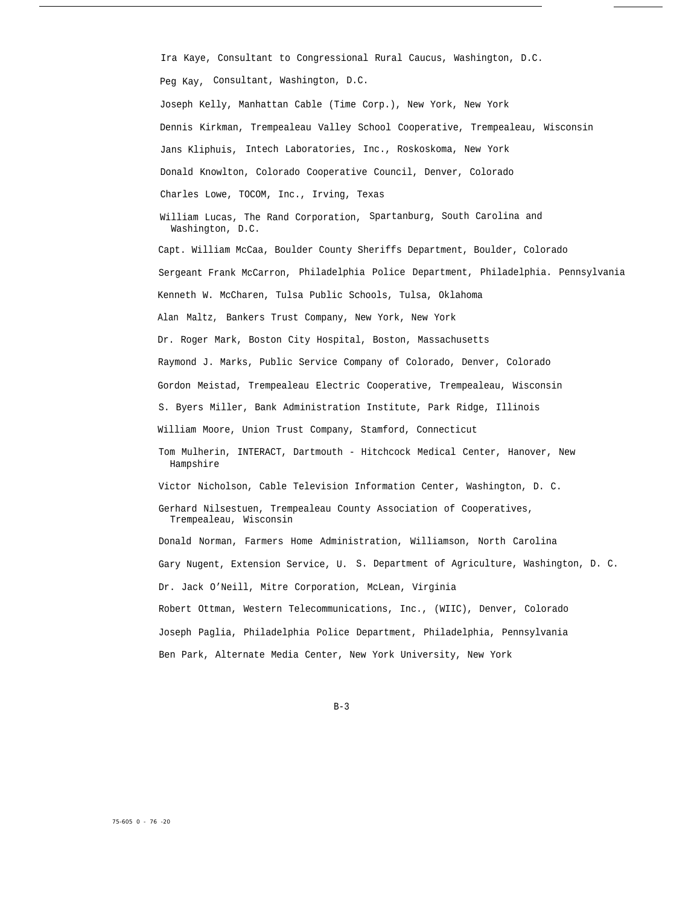Ira Kaye, Consultant to Congressional Rural Caucus, Washington, D.C. Peg Kay, Consultant, Washington, D.C.

Joseph Kelly, Manhattan Cable (Time Corp.), New York, New York Dennis Kirkman, Trempealeau Valley School Cooperative, Trempealeau, Wisconsin Jans Kliphuis, Intech Laboratories, Inc., Roskoskoma, New York Donald Knowlton, Colorado Cooperative Council, Denver, Colorado

Charles Lowe, TOCOM, Inc., Irving, Texas

William Lucas, The Rand Corporation, Spartanburg, South Carolina and Washington, D.C.

Capt. William McCaa, Boulder County Sheriffs Department, Boulder, Colorado Sergeant Frank McCarron, Philadelphia Police Department, Philadelphia. Pennsylvania Kenneth W. McCharen, Tulsa Public Schools, Tulsa, Oklahoma Alan Maltz, Bankers Trust Company, New York, New York Dr. Roger Mark, Boston City Hospital, Boston, Massachusetts Raymond J. Marks, Public Service Company of Colorado, Denver, Colorado Gordon Meistad, Trempealeau Electric Cooperative, Trempealeau, Wisconsin S. Byers Miller, Bank Administration Institute, Park Ridge, Illinois William Moore, Union Trust Company, Stamford, Connecticut Tom Mulherin, INTERACT, Dartmouth - Hitchcock Medical Center, Hanover, New Hampshire Victor Nicholson, Cable Television Information Center, Washington, D. C. Gerhard Nilsestuen, Trempealeau County Association of Cooperatives, Trempealeau, Wisconsin Donald Norman, Farmers Home Administration, Williamson, North Carolina Gary Nugent, Extension Service, U. S. Department of Agriculture, Washington, D. C. Dr. Jack O'Neill, Mitre Corporation, McLean, Virginia Robert Ottman, Western Telecommunications, Inc., (WIIC), Denver, Colorado Joseph Paglia, Philadelphia Police Department, Philadelphia, Pennsylvania Ben Park, Alternate Media Center, New York University, New York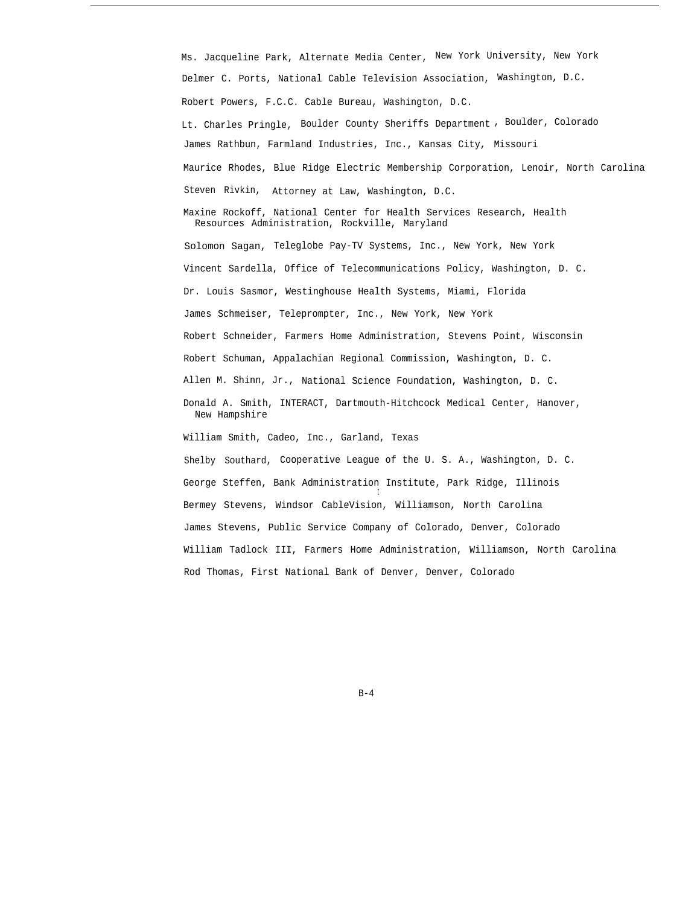Ms. Jacqueline Park, Alternate Media Center, New York University, New York Delmer C. Ports, National Cable Television Association, Washington, D.C. Robert Powers, F.C.C. Cable Bureau, Washington, D.C. Lt. Charles Pringle, Boulder County Sheriffs Department , Boulder, Colorado James Rathbun, Farmland Industries, Inc., Kansas City, Missouri Maurice Rhodes, Blue Ridge Electric Membership Corporation, Lenoir, North Carolina Steven Rivkin, Attorney at Law, Washington, D.C. Maxine Rockoff, National Center for Health Services Research, Health Resources Administration, Rockville, Maryland Solomon Sagan, Teleglobe Pay-TV Systems, Inc., New York, New York Vincent Sardella, Office of Telecommunications Policy, Washington, D. C. Dr. Louis Sasmor, Westinghouse Health Systems, Miami, Florida James Schmeiser, Teleprompter, Inc., New York, New York Robert Schneider, Farmers Home Administration, Stevens Point, Wisconsin Robert Schuman, Appalachian Regional Commission, Washington, D. C. Allen M. Shinn, Jr., National Science Foundation, Washington, D. C. Donald A. Smith, INTERACT, Dartmouth-Hitchcock Medical Center, Hanover, New Hampshire William Smith, Cadeo, Inc., Garland, Texas Shelby Southard, Cooperative League of the U. S. A., Washington, D. C. George Steffen, Bank Administration Institute, Park Ridge, Illinois t Bermey Stevens, Windsor CableVision, Williamson, North Carolina James Stevens, Public Service Company of Colorado, Denver, Colorado William Tadlock III, Farmers Home Administration, Williamson, North Carolina Rod Thomas, First National Bank of Denver, Denver, Colorado